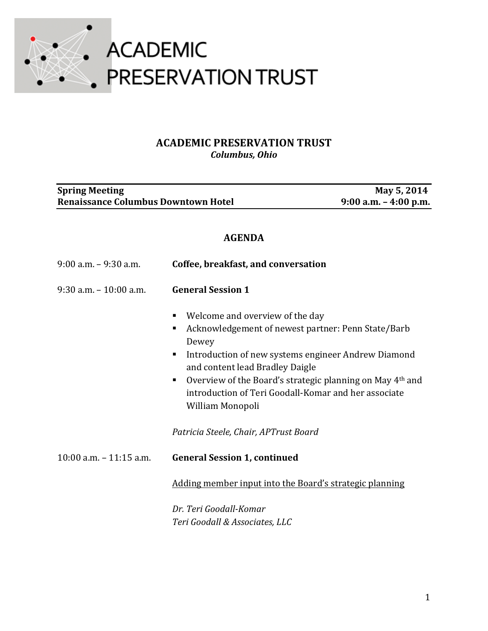

## **ACADEMIC PRESERVATION TRUST** *Columbus, Ohio*

| <b>Spring Meeting</b><br><b>Renaissance Columbus Downtown Hotel</b> |                                                                                                                                                                                                                                                                                                                                                       | May 5, 2014<br>$9:00$ a.m. $-4:00$ p.m. |  |
|---------------------------------------------------------------------|-------------------------------------------------------------------------------------------------------------------------------------------------------------------------------------------------------------------------------------------------------------------------------------------------------------------------------------------------------|-----------------------------------------|--|
| <b>AGENDA</b>                                                       |                                                                                                                                                                                                                                                                                                                                                       |                                         |  |
| $9:00$ a.m. $-9:30$ a.m.                                            | Coffee, breakfast, and conversation                                                                                                                                                                                                                                                                                                                   |                                         |  |
| $9:30$ a.m. $-10:00$ a.m.                                           | <b>General Session 1</b>                                                                                                                                                                                                                                                                                                                              |                                         |  |
|                                                                     | Welcome and overview of the day<br>п<br>Acknowledgement of newest partner: Penn State/Barb<br>п<br>Dewey<br>Introduction of new systems engineer Andrew Diamond<br>п<br>and content lead Bradley Daigle<br>Overview of the Board's strategic planning on May 4th and<br>п<br>introduction of Teri Goodall-Komar and her associate<br>William Monopoli |                                         |  |
|                                                                     | Patricia Steele, Chair, APTrust Board                                                                                                                                                                                                                                                                                                                 |                                         |  |
| $10:00$ a.m. $-11:15$ a.m.                                          | <b>General Session 1, continued</b>                                                                                                                                                                                                                                                                                                                   |                                         |  |
|                                                                     | Adding member input into the Board's strategic planning                                                                                                                                                                                                                                                                                               |                                         |  |
|                                                                     | Dr. Teri Goodall-Komar<br>Teri Goodall & Associates, LLC                                                                                                                                                                                                                                                                                              |                                         |  |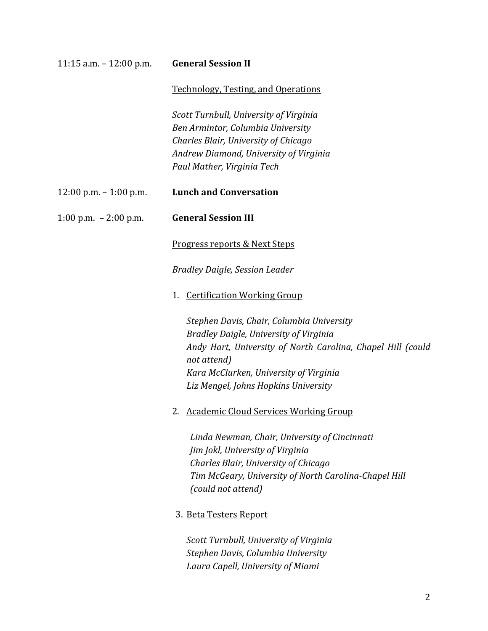| 11:15 a.m. $- 12:00$ p.m. | <b>General Session II</b>                                                  |  |
|---------------------------|----------------------------------------------------------------------------|--|
|                           | <b>Technology, Testing, and Operations</b>                                 |  |
|                           | Scott Turnbull, University of Virginia                                     |  |
|                           | Ben Armintor, Columbia University                                          |  |
|                           | Charles Blair, University of Chicago                                       |  |
|                           | Andrew Diamond, University of Virginia                                     |  |
|                           | Paul Mather, Virginia Tech                                                 |  |
| 12:00 p.m. - 1:00 p.m.    | <b>Lunch and Conversation</b>                                              |  |
| 1:00 p.m. $-2:00$ p.m.    | <b>General Session III</b>                                                 |  |
|                           | Progress reports & Next Steps                                              |  |
|                           | <b>Bradley Daigle, Session Leader</b>                                      |  |
|                           | 1. Certification Working Group                                             |  |
|                           | Stephen Davis, Chair, Columbia University                                  |  |
|                           | <b>Bradley Daigle, University of Virginia</b>                              |  |
|                           | Andy Hart, University of North Carolina, Chapel Hill (could<br>not attend) |  |
|                           | Kara McClurken, University of Virginia                                     |  |
|                           | Liz Mengel, Johns Hopkins University                                       |  |
|                           | 2. Academic Cloud Services Working Group                                   |  |
|                           | Linda Newman, Chair, University of Cincinnati                              |  |
|                           | Jim Jokl, University of Virginia                                           |  |
|                           | Charles Blair, University of Chicago                                       |  |
|                           | Tim McGeary, University of North Carolina-Chapel Hill                      |  |
|                           | (could not attend)                                                         |  |
|                           | 3. Beta Testers Report                                                     |  |
|                           | Scott Turnbull, University of Virginia                                     |  |
|                           | Stephen Davis, Columbia University                                         |  |
|                           | Laura Capell, University of Miami                                          |  |